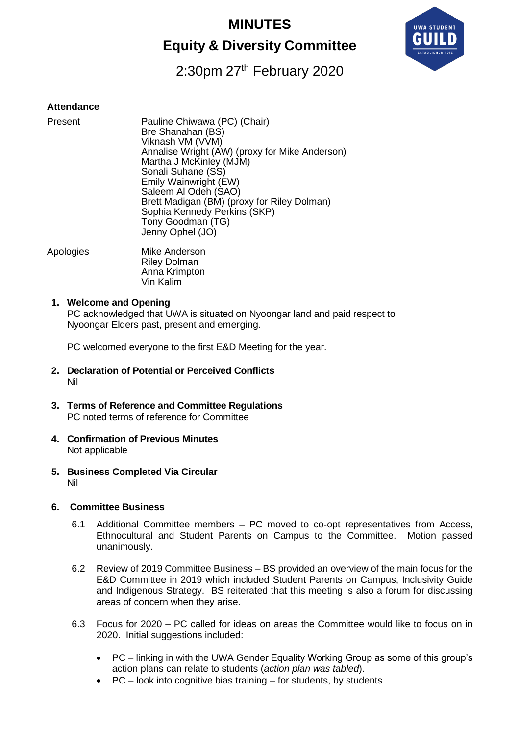# **MINUTES**

# **Equity & Diversity Committee**



# 2:30pm 27<sup>th</sup> February 2020

#### **Attendance**

| Present | Pauline Chiwawa (PC) (Chair)<br>Bre Shanahan (BS)<br>Viknash VM (VVM)<br>Annalise Wright (AW) (proxy for Mike Anderson)<br>Martha J McKinley (MJM)<br>Sonali Suhane (SS)<br>Emily Wainwright (EW)<br>Saleem Al Odeh (SAO)<br>Brett Madigan (BM) (proxy for Riley Dolman)<br>Sophia Kennedy Perkins (SKP)<br>Tony Goodman (TG)<br>Jenny Ophel (JO) |
|---------|---------------------------------------------------------------------------------------------------------------------------------------------------------------------------------------------------------------------------------------------------------------------------------------------------------------------------------------------------|
|         |                                                                                                                                                                                                                                                                                                                                                   |

Apologies Mike Anderson Riley Dolman Anna Krimpton Vin Kalim

#### **1. Welcome and Opening**

PC acknowledged that UWA is situated on Nyoongar land and paid respect to Nyoongar Elders past, present and emerging.

PC welcomed everyone to the first E&D Meeting for the year.

- **2. Declaration of Potential or Perceived Conflicts** Nil
- **3. Terms of Reference and Committee Regulations** PC noted terms of reference for Committee
- **4. Confirmation of Previous Minutes** Not applicable
- **5. Business Completed Via Circular** Nil

#### **6. Committee Business**

- 6.1 Additional Committee members PC moved to co-opt representatives from Access, Ethnocultural and Student Parents on Campus to the Committee. Motion passed unanimously.
- 6.2 Review of 2019 Committee Business BS provided an overview of the main focus for the E&D Committee in 2019 which included Student Parents on Campus, Inclusivity Guide and Indigenous Strategy. BS reiterated that this meeting is also a forum for discussing areas of concern when they arise.
- 6.3 Focus for 2020 PC called for ideas on areas the Committee would like to focus on in 2020. Initial suggestions included:
	- PC linking in with the UWA Gender Equality Working Group as some of this group's action plans can relate to students (*action plan was tabled*).
	- PC look into cognitive bias training for students, by students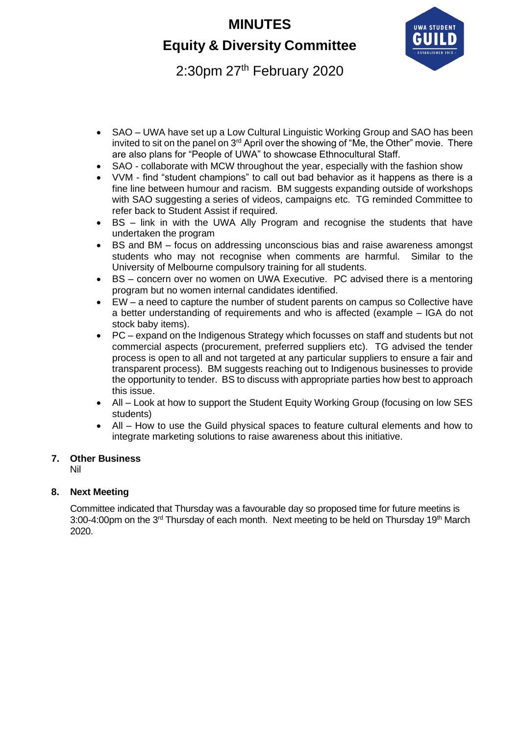# **MINUTES**

# **Equity & Diversity Committee**



2:30pm 27<sup>th</sup> February 2020

- SAO UWA have set up a Low Cultural Linguistic Working Group and SAO has been invited to sit on the panel on 3<sup>rd</sup> April over the showing of "Me, the Other" movie. There are also plans for "People of UWA" to showcase Ethnocultural Staff.
- SAO collaborate with MCW throughout the year, especially with the fashion show
- VVM find "student champions" to call out bad behavior as it happens as there is a fine line between humour and racism. BM suggests expanding outside of workshops with SAO suggesting a series of videos, campaigns etc. TG reminded Committee to refer back to Student Assist if required.
- BS link in with the UWA Ally Program and recognise the students that have undertaken the program
- BS and BM focus on addressing unconscious bias and raise awareness amongst students who may not recognise when comments are harmful. Similar to the University of Melbourne compulsory training for all students.
- BS concern over no women on UWA Executive. PC advised there is a mentoring program but no women internal candidates identified.
- EW a need to capture the number of student parents on campus so Collective have a better understanding of requirements and who is affected (example – IGA do not stock baby items).
- PC expand on the Indigenous Strategy which focusses on staff and students but not commercial aspects (procurement, preferred suppliers etc). TG advised the tender process is open to all and not targeted at any particular suppliers to ensure a fair and transparent process). BM suggests reaching out to Indigenous businesses to provide the opportunity to tender. BS to discuss with appropriate parties how best to approach this issue.
- All Look at how to support the Student Equity Working Group (focusing on low SES students)
- All How to use the Guild physical spaces to feature cultural elements and how to integrate marketing solutions to raise awareness about this initiative.

#### **7. Other Business**

Nil

#### **8. Next Meeting**

Committee indicated that Thursday was a favourable day so proposed time for future meetins is 3:00-4:00pm on the  $3<sup>rd</sup>$  Thursday of each month. Next meeting to be held on Thursday 19<sup>th</sup> March 2020.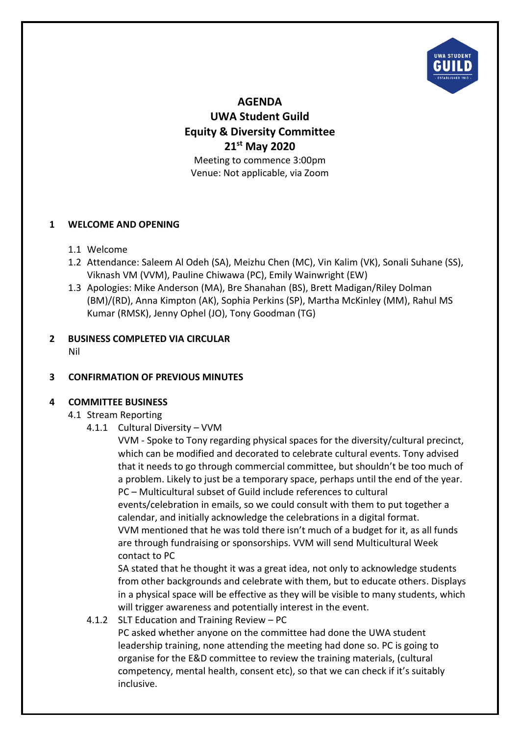

**AGENDA UWA Student Guild Equity & Diversity Committee 21st May 2020** Meeting to commence 3:00pm Venue: Not applicable, via Zoom

#### **1 WELCOME AND OPENING**

- 1.1 Welcome
- 1.2 Attendance: Saleem Al Odeh (SA), Meizhu Chen (MC), Vin Kalim (VK), Sonali Suhane (SS), Viknash VM (VVM), Pauline Chiwawa (PC), Emily Wainwright (EW)
- 1.3 Apologies: Mike Anderson (MA), Bre Shanahan (BS), Brett Madigan/Riley Dolman (BM)/(RD), Anna Kimpton (AK), Sophia Perkins (SP), Martha McKinley (MM), Rahul MS Kumar (RMSK), Jenny Ophel (JO), Tony Goodman (TG)

# **2 BUSINESS COMPLETED VIA CIRCULAR**

Nil

## **3 CONFIRMATION OF PREVIOUS MINUTES**

## **4 COMMITTEE BUSINESS**

- 4.1 Stream Reporting
	- 4.1.1 Cultural Diversity VVM

VVM - Spoke to Tony regarding physical spaces for the diversity/cultural precinct, which can be modified and decorated to celebrate cultural events. Tony advised that it needs to go through commercial committee, but shouldn't be too much of a problem. Likely to just be a temporary space, perhaps until the end of the year. PC – Multicultural subset of Guild include references to cultural events/celebration in emails, so we could consult with them to put together a calendar, and initially acknowledge the celebrations in a digital format. VVM mentioned that he was told there isn't much of a budget for it, as all funds are through fundraising or sponsorships. VVM will send Multicultural Week contact to PC

SA stated that he thought it was a great idea, not only to acknowledge students from other backgrounds and celebrate with them, but to educate others. Displays in a physical space will be effective as they will be visible to many students, which will trigger awareness and potentially interest in the event.

4.1.2 SLT Education and Training Review – PC

PC asked whether anyone on the committee had done the UWA student leadership training, none attending the meeting had done so. PC is going to organise for the E&D committee to review the training materials, (cultural competency, mental health, consent etc), so that we can check if it's suitably inclusive.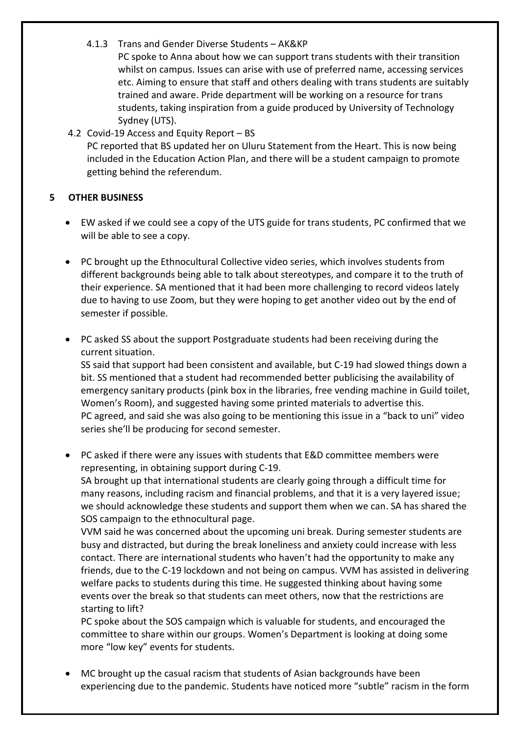4.1.3 Trans and Gender Diverse Students – AK&KP

PC spoke to Anna about how we can support trans students with their transition whilst on campus. Issues can arise with use of preferred name, accessing services etc. Aiming to ensure that staff and others dealing with trans students are suitably trained and aware. Pride department will be working on a resource for trans students, taking inspiration from a guide produced by University of Technology Sydney (UTS).

4.2 Covid-19 Access and Equity Report – BS PC reported that BS updated her on Uluru Statement from the Heart. This is now being included in the Education Action Plan, and there will be a student campaign to promote getting behind the referendum.

## **5 OTHER BUSINESS**

- EW asked if we could see a copy of the UTS guide for trans students, PC confirmed that we will be able to see a copy.
- PC brought up the Ethnocultural Collective video series, which involves students from different backgrounds being able to talk about stereotypes, and compare it to the truth of their experience. SA mentioned that it had been more challenging to record videos lately due to having to use Zoom, but they were hoping to get another video out by the end of semester if possible.
- PC asked SS about the support Postgraduate students had been receiving during the current situation.

SS said that support had been consistent and available, but C-19 had slowed things down a bit. SS mentioned that a student had recommended better publicising the availability of emergency sanitary products (pink box in the libraries, free vending machine in Guild toilet, Women's Room), and suggested having some printed materials to advertise this. PC agreed, and said she was also going to be mentioning this issue in a "back to uni" video series she'll be producing for second semester.

• PC asked if there were any issues with students that E&D committee members were representing, in obtaining support during C-19.

SA brought up that international students are clearly going through a difficult time for many reasons, including racism and financial problems, and that it is a very layered issue; we should acknowledge these students and support them when we can. SA has shared the SOS campaign to the ethnocultural page.

VVM said he was concerned about the upcoming uni break. During semester students are busy and distracted, but during the break loneliness and anxiety could increase with less contact. There are international students who haven't had the opportunity to make any friends, due to the C-19 lockdown and not being on campus. VVM has assisted in delivering welfare packs to students during this time. He suggested thinking about having some events over the break so that students can meet others, now that the restrictions are starting to lift?

PC spoke about the SOS campaign which is valuable for students, and encouraged the committee to share within our groups. Women's Department is looking at doing some more "low key" events for students.

• MC brought up the casual racism that students of Asian backgrounds have been experiencing due to the pandemic. Students have noticed more "subtle" racism in the form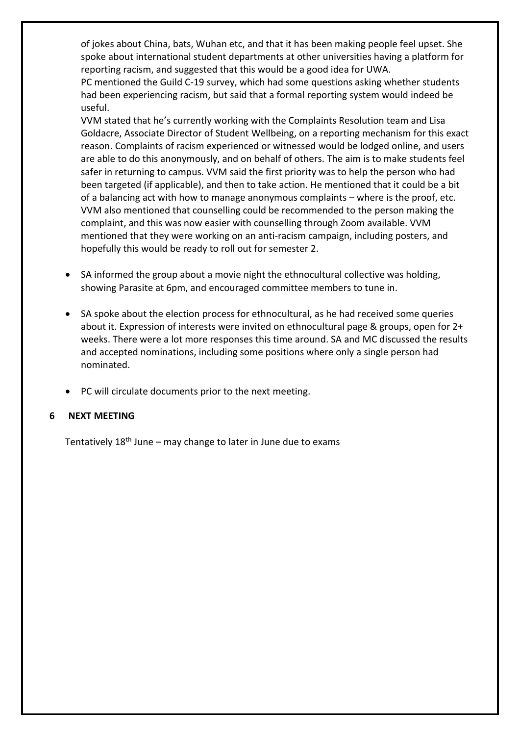of jokes about China, bats, Wuhan etc, and that it has been making people feel upset. She spoke about international student departments at other universities having a platform for reporting racism, and suggested that this would be a good idea for UWA.

PC mentioned the Guild C-19 survey, which had some questions asking whether students had been experiencing racism, but said that a formal reporting system would indeed be useful.

VVM stated that he's currently working with the Complaints Resolution team and Lisa Goldacre, Associate Director of Student Wellbeing, on a reporting mechanism for this exact reason. Complaints of racism experienced or witnessed would be lodged online, and users are able to do this anonymously, and on behalf of others. The aim is to make students feel safer in returning to campus. VVM said the first priority was to help the person who had been targeted (if applicable), and then to take action. He mentioned that it could be a bit of a balancing act with how to manage anonymous complaints – where is the proof, etc. VVM also mentioned that counselling could be recommended to the person making the complaint, and this was now easier with counselling through Zoom available. VVM mentioned that they were working on an anti-racism campaign, including posters, and hopefully this would be ready to roll out for semester 2.

- SA informed the group about a movie night the ethnocultural collective was holding, showing Parasite at 6pm, and encouraged committee members to tune in.
- SA spoke about the election process for ethnocultural, as he had received some queries about it. Expression of interests were invited on ethnocultural page & groups, open for 2+ weeks. There were a lot more responses this time around. SA and MC discussed the results and accepted nominations, including some positions where only a single person had nominated.
- PC will circulate documents prior to the next meeting.

#### **6 NEXT MEETING**

Tentatively  $18<sup>th</sup>$  June – may change to later in June due to exams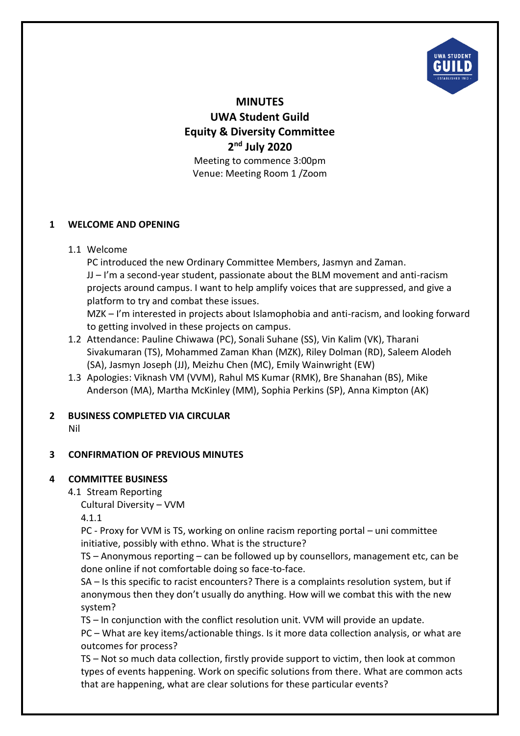

**MINUTES UWA Student Guild Equity & Diversity Committee 2 nd July 2020** Meeting to commence 3:00pm Venue: Meeting Room 1 /Zoom

#### **1 WELCOME AND OPENING**

1.1 Welcome

PC introduced the new Ordinary Committee Members, Jasmyn and Zaman. JJ – I'm a second-year student, passionate about the BLM movement and anti-racism projects around campus. I want to help amplify voices that are suppressed, and give a platform to try and combat these issues.

MZK – I'm interested in projects about Islamophobia and anti-racism, and looking forward to getting involved in these projects on campus.

- 1.2 Attendance: Pauline Chiwawa (PC), Sonali Suhane (SS), Vin Kalim (VK), Tharani Sivakumaran (TS), Mohammed Zaman Khan (MZK), Riley Dolman (RD), Saleem Alodeh (SA), Jasmyn Joseph (JJ), Meizhu Chen (MC), Emily Wainwright (EW)
- 1.3 Apologies: Viknash VM (VVM), Rahul MS Kumar (RMK), Bre Shanahan (BS), Mike Anderson (MA), Martha McKinley (MM), Sophia Perkins (SP), Anna Kimpton (AK)

## **2 BUSINESS COMPLETED VIA CIRCULAR**

Nil

## **3 CONFIRMATION OF PREVIOUS MINUTES**

#### **4 COMMITTEE BUSINESS**

4.1 Stream Reporting

Cultural Diversity – VVM

4.1.1

PC - Proxy for VVM is TS, working on online racism reporting portal – uni committee initiative, possibly with ethno. What is the structure?

TS – Anonymous reporting – can be followed up by counsellors, management etc, can be done online if not comfortable doing so face-to-face.

SA – Is this specific to racist encounters? There is a complaints resolution system, but if anonymous then they don't usually do anything. How will we combat this with the new system?

TS – In conjunction with the conflict resolution unit. VVM will provide an update.

PC – What are key items/actionable things. Is it more data collection analysis, or what are outcomes for process?

TS – Not so much data collection, firstly provide support to victim, then look at common types of events happening. Work on specific solutions from there. What are common acts that are happening, what are clear solutions for these particular events?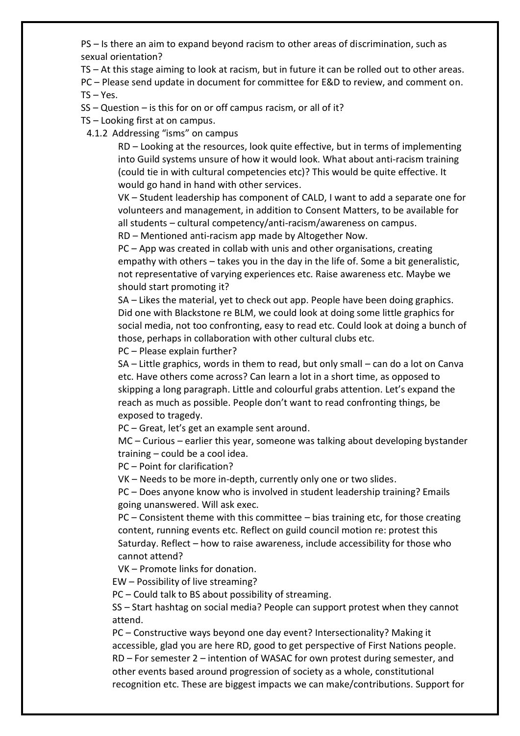PS – Is there an aim to expand beyond racism to other areas of discrimination, such as sexual orientation?

TS – At this stage aiming to look at racism, but in future it can be rolled out to other areas.

PC – Please send update in document for committee for E&D to review, and comment on.

 $TS - Yes.$ 

SS – Question – is this for on or off campus racism, or all of it?

TS – Looking first at on campus.

4.1.2 Addressing "isms" on campus

RD – Looking at the resources, look quite effective, but in terms of implementing into Guild systems unsure of how it would look. What about anti-racism training (could tie in with cultural competencies etc)? This would be quite effective. It would go hand in hand with other services.

VK – Student leadership has component of CALD, I want to add a separate one for volunteers and management, in addition to Consent Matters, to be available for all students – cultural competency/anti-racism/awareness on campus. RD – Mentioned anti-racism app made by Altogether Now.

PC – App was created in collab with unis and other organisations, creating empathy with others – takes you in the day in the life of. Some a bit generalistic, not representative of varying experiences etc. Raise awareness etc. Maybe we should start promoting it?

SA – Likes the material, yet to check out app. People have been doing graphics. Did one with Blackstone re BLM, we could look at doing some little graphics for social media, not too confronting, easy to read etc. Could look at doing a bunch of those, perhaps in collaboration with other cultural clubs etc.

PC – Please explain further?

SA – Little graphics, words in them to read, but only small – can do a lot on Canva etc. Have others come across? Can learn a lot in a short time, as opposed to skipping a long paragraph. Little and colourful grabs attention. Let's expand the reach as much as possible. People don't want to read confronting things, be exposed to tragedy.

PC – Great, let's get an example sent around.

MC – Curious – earlier this year, someone was talking about developing bystander training – could be a cool idea.

PC – Point for clarification?

VK – Needs to be more in-depth, currently only one or two slides.

PC – Does anyone know who is involved in student leadership training? Emails going unanswered. Will ask exec.

PC – Consistent theme with this committee – bias training etc, for those creating content, running events etc. Reflect on guild council motion re: protest this Saturday. Reflect – how to raise awareness, include accessibility for those who cannot attend?

VK – Promote links for donation.

EW – Possibility of live streaming?

PC – Could talk to BS about possibility of streaming.

SS – Start hashtag on social media? People can support protest when they cannot attend.

PC – Constructive ways beyond one day event? Intersectionality? Making it accessible, glad you are here RD, good to get perspective of First Nations people. RD – For semester 2 – intention of WASAC for own protest during semester, and other events based around progression of society as a whole, constitutional recognition etc. These are biggest impacts we can make/contributions. Support for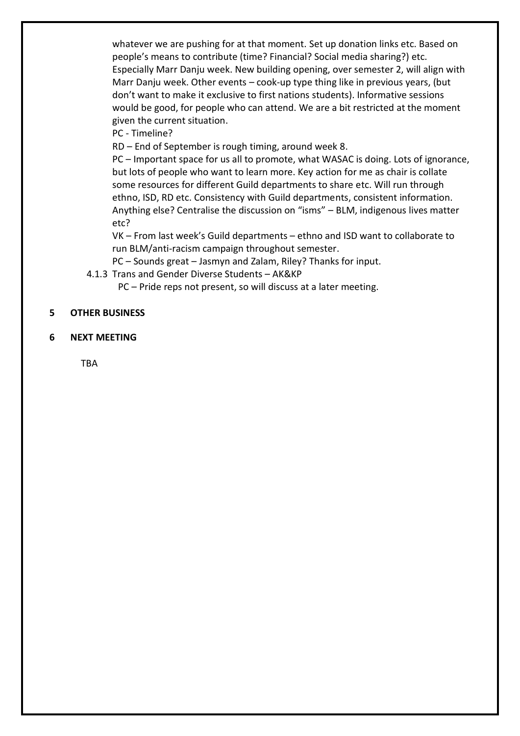whatever we are pushing for at that moment. Set up donation links etc. Based on people's means to contribute (time? Financial? Social media sharing?) etc. Especially Marr Danju week. New building opening, over semester 2, will align with Marr Danju week. Other events – cook-up type thing like in previous years, (but don't want to make it exclusive to first nations students). Informative sessions would be good, for people who can attend. We are a bit restricted at the moment given the current situation.

PC - Timeline?

RD – End of September is rough timing, around week 8.

PC – Important space for us all to promote, what WASAC is doing. Lots of ignorance, but lots of people who want to learn more. Key action for me as chair is collate some resources for different Guild departments to share etc. Will run through ethno, ISD, RD etc. Consistency with Guild departments, consistent information. Anything else? Centralise the discussion on "isms" – BLM, indigenous lives matter etc?

VK – From last week's Guild departments – ethno and ISD want to collaborate to run BLM/anti-racism campaign throughout semester.

PC – Sounds great – Jasmyn and Zalam, Riley? Thanks for input.

4.1.3 Trans and Gender Diverse Students – AK&KP

PC – Pride reps not present, so will discuss at a later meeting.

#### **5 OTHER BUSINESS**

**6 NEXT MEETING**

TBA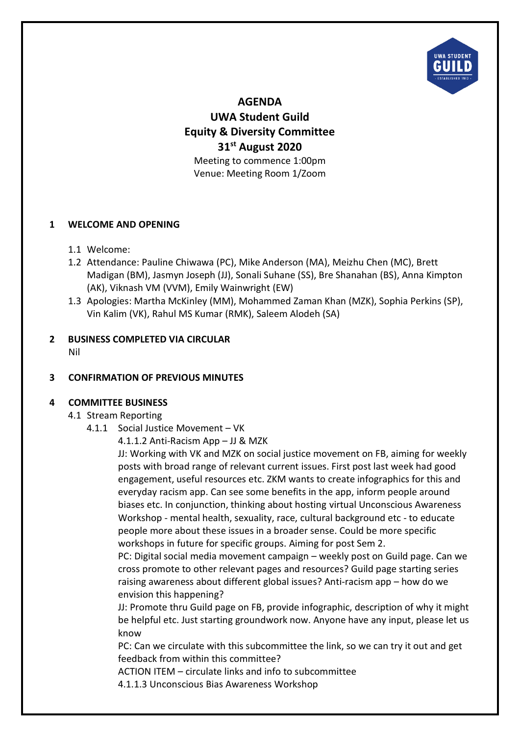

**AGENDA UWA Student Guild Equity & Diversity Committee 31st August 2020** Meeting to commence 1:00pm Venue: Meeting Room 1/Zoom

#### **1 WELCOME AND OPENING**

- 1.1 Welcome:
- 1.2 Attendance: Pauline Chiwawa (PC), Mike Anderson (MA), Meizhu Chen (MC), Brett Madigan (BM), Jasmyn Joseph (JJ), Sonali Suhane (SS), Bre Shanahan (BS), Anna Kimpton (AK), Viknash VM (VVM), Emily Wainwright (EW)
- 1.3 Apologies: Martha McKinley (MM), Mohammed Zaman Khan (MZK), Sophia Perkins (SP), Vin Kalim (VK), Rahul MS Kumar (RMK), Saleem Alodeh (SA)

#### **2 BUSINESS COMPLETED VIA CIRCULAR** Nil

## **3 CONFIRMATION OF PREVIOUS MINUTES**

#### **4 COMMITTEE BUSINESS**

#### 4.1 Stream Reporting

- 4.1.1 Social Justice Movement VK
	- 4.1.1.2 Anti-Racism App JJ & MZK

JJ: Working with VK and MZK on social justice movement on FB, aiming for weekly posts with broad range of relevant current issues. First post last week had good engagement, useful resources etc. ZKM wants to create infographics for this and everyday racism app. Can see some benefits in the app, inform people around biases etc. In conjunction, thinking about hosting virtual Unconscious Awareness Workshop - mental health, sexuality, race, cultural background etc - to educate people more about these issues in a broader sense. Could be more specific workshops in future for specific groups. Aiming for post Sem 2.

PC: Digital social media movement campaign – weekly post on Guild page. Can we cross promote to other relevant pages and resources? Guild page starting series raising awareness about different global issues? Anti-racism app – how do we envision this happening?

JJ: Promote thru Guild page on FB, provide infographic, description of why it might be helpful etc. Just starting groundwork now. Anyone have any input, please let us know

PC: Can we circulate with this subcommittee the link, so we can try it out and get feedback from within this committee?

ACTION ITEM – circulate links and info to subcommittee

4.1.1.3 Unconscious Bias Awareness Workshop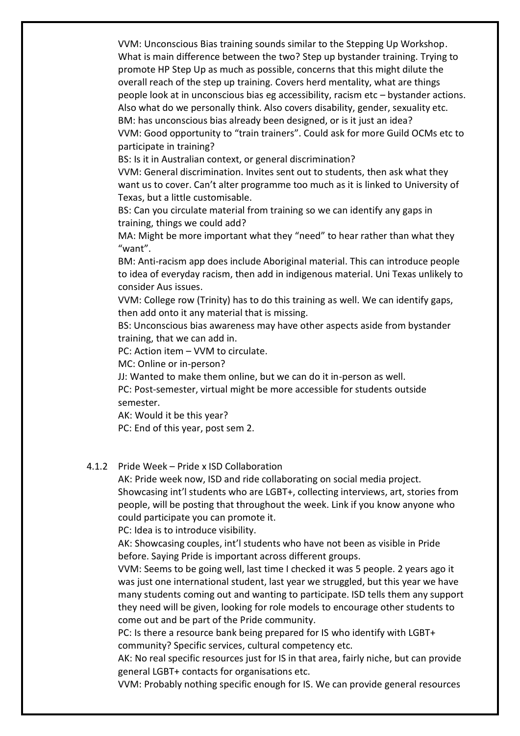VVM: Unconscious Bias training sounds similar to the Stepping Up Workshop. What is main difference between the two? Step up bystander training. Trying to promote HP Step Up as much as possible, concerns that this might dilute the overall reach of the step up training. Covers herd mentality, what are things people look at in unconscious bias eg accessibility, racism etc – bystander actions. Also what do we personally think. Also covers disability, gender, sexuality etc. BM: has unconscious bias already been designed, or is it just an idea? VVM: Good opportunity to "train trainers". Could ask for more Guild OCMs etc to participate in training?

BS: Is it in Australian context, or general discrimination?

VVM: General discrimination. Invites sent out to students, then ask what they want us to cover. Can't alter programme too much as it is linked to University of Texas, but a little customisable.

BS: Can you circulate material from training so we can identify any gaps in training, things we could add?

MA: Might be more important what they "need" to hear rather than what they "want".

BM: Anti-racism app does include Aboriginal material. This can introduce people to idea of everyday racism, then add in indigenous material. Uni Texas unlikely to consider Aus issues.

VVM: College row (Trinity) has to do this training as well. We can identify gaps, then add onto it any material that is missing.

BS: Unconscious bias awareness may have other aspects aside from bystander training, that we can add in.

PC: Action item – VVM to circulate.

MC: Online or in-person?

JJ: Wanted to make them online, but we can do it in-person as well.

PC: Post-semester, virtual might be more accessible for students outside semester.

AK: Would it be this year?

PC: End of this year, post sem 2.

#### 4.1.2 Pride Week – Pride x ISD Collaboration

AK: Pride week now, ISD and ride collaborating on social media project. Showcasing int'l students who are LGBT+, collecting interviews, art, stories from people, will be posting that throughout the week. Link if you know anyone who could participate you can promote it.

PC: Idea is to introduce visibility.

AK: Showcasing couples, int'l students who have not been as visible in Pride before. Saying Pride is important across different groups.

VVM: Seems to be going well, last time I checked it was 5 people. 2 years ago it was just one international student, last year we struggled, but this year we have many students coming out and wanting to participate. ISD tells them any support they need will be given, looking for role models to encourage other students to come out and be part of the Pride community.

PC: Is there a resource bank being prepared for IS who identify with LGBT+ community? Specific services, cultural competency etc.

AK: No real specific resources just for IS in that area, fairly niche, but can provide general LGBT+ contacts for organisations etc.

VVM: Probably nothing specific enough for IS. We can provide general resources